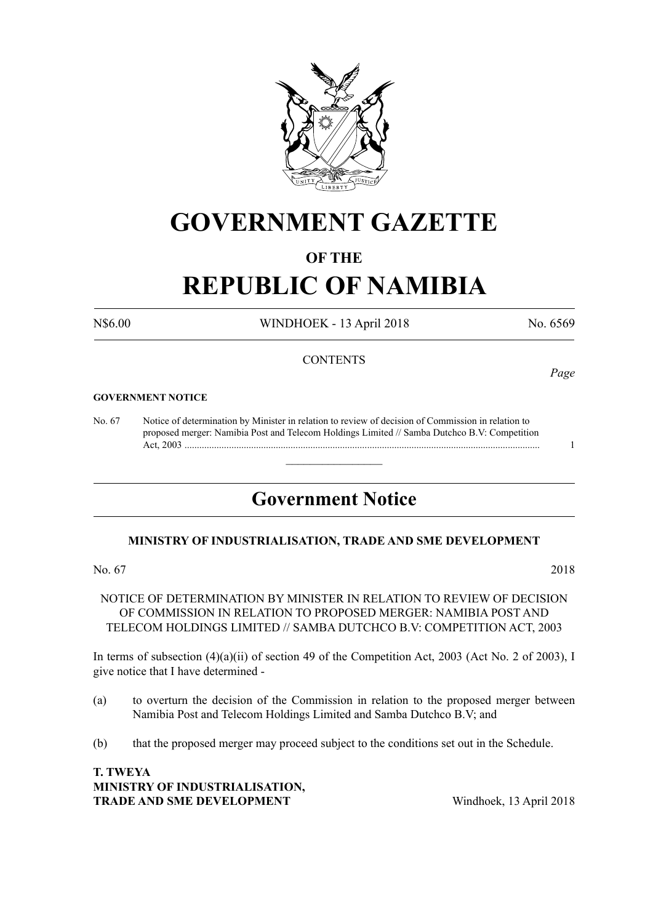

## **GOVERNMENT GAZETTE**

#### **OF THE**

# **REPUBLIC OF NAMIBIA**

N\$6.00 WINDHOEK - 13 April 2018 No. 6569

#### **CONTENTS**

#### **GOVERNMENT NOTICE**

No. 67 Notice of determination by Minister in relation to review of decision of Commission in relation to proposed merger: Namibia Post and Telecom Holdings Limited // Samba Dutchco B.V: Competition Act, 2003 ................................................................................................................................................ 1

### **Government Notice**

 $\overline{\phantom{a}}$  , where  $\overline{\phantom{a}}$ 

#### **MINISTRY OF INDUSTRIALISATION, TRADE AND SME DEVELOPMENT**

#### No. 67 2018

NOTICE OF DETERMINATION BY MINISTER IN RELATION TO REVIEW OF DECISION OF COMMISSION IN RELATION TO PROPOSED MERGER: NAMIBIA POST AND TELECOM HOLDINGS LIMITED // SAMBA DUTCHCO B.V: COMPETITION ACT, 2003

In terms of subsection (4)(a)(ii) of section 49 of the Competition Act, 2003 (Act No. 2 of 2003), I give notice that I have determined -

- (a) to overturn the decision of the Commission in relation to the proposed merger between Namibia Post and Telecom Holdings Limited and Samba Dutchco B.V; and
- (b) that the proposed merger may proceed subject to the conditions set out in the Schedule.

**T. Tweya Ministry of Industrialisation, TRADE AND SME DEVELOPMENT** Windhoek, 13 April 2018

*Page*